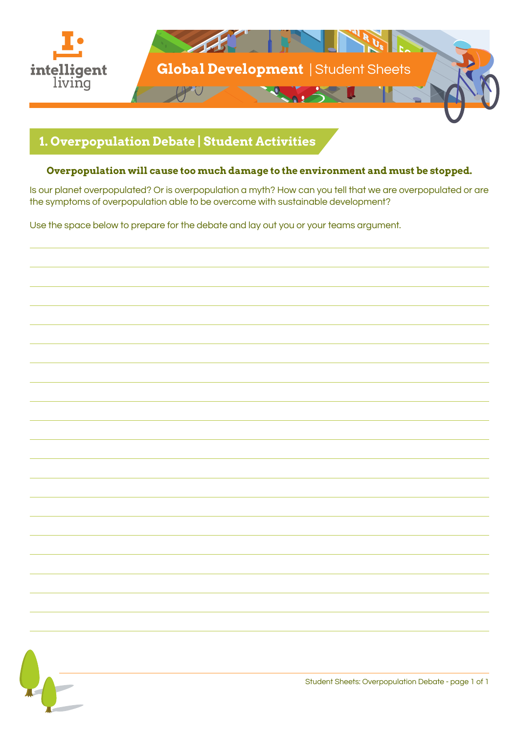

# **1. Overpopulation Debate | Student Activities**

#### **Overpopulation will cause too much damage to the environment and must be stopped.**

Is our planet overpopulated? Or is overpopulation a myth? How can you tell that we are overpopulated or are the symptoms of overpopulation able to be overcome with sustainable development?

Use the space below to prepare for the debate and lay out you or your teams argument.

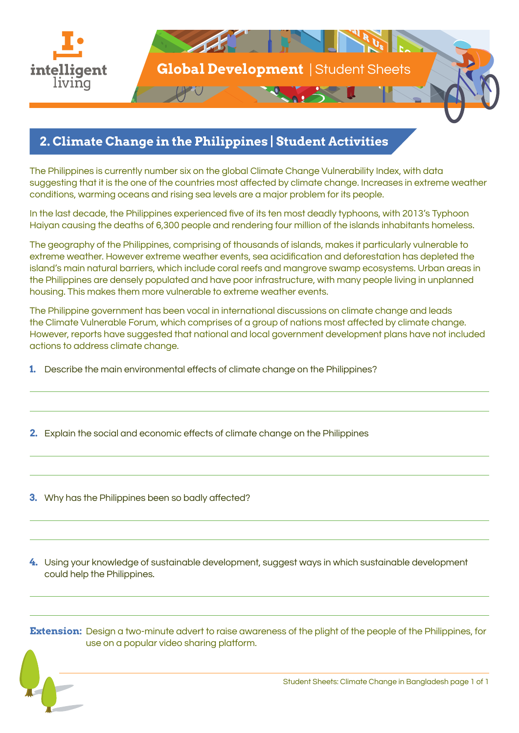

#### **2. Climate Change in the Philippines | Student Activities**

The Philippines is currently number six on the global Climate Change Vulnerability Index, with data suggesting that it is the one of the countries most affected by climate change. Increases in extreme weather conditions, warming oceans and rising sea levels are a major problem for its people.

In the last decade, the Philippines experienced five of its ten most deadly typhoons, with 2013's Typhoon Haiyan causing the deaths of 6,300 people and rendering four million of the islands inhabitants homeless.

The geography of the Philippines, comprising of thousands of islands, makes it particularly vulnerable to extreme weather. However extreme weather events, sea acidification and deforestation has depleted the island's main natural barriers, which include coral reefs and mangrove swamp ecosystems. Urban areas in the Philippines are densely populated and have poor infrastructure, with many people living in unplanned housing. This makes them more vulnerable to extreme weather events.

The Philippine government has been vocal in international discussions on climate change and leads the Climate Vulnerable Forum, which comprises of a group of nations most affected by climate change. However, reports have suggested that national and local government development plans have not included actions to address climate change.

- **1.** Describe the main environmental effects of climate change on the Philippines?
- **2.** Explain the social and economic effects of climate change on the Philippines
- **3.** Why has the Philippines been so badly affected?

**4.** Using your knowledge of sustainable development, suggest ways in which sustainable development could help the Philippines.

**Extension:** Design a two-minute advert to raise awareness of the plight of the people of the Philippines, for use on a popular video sharing platform.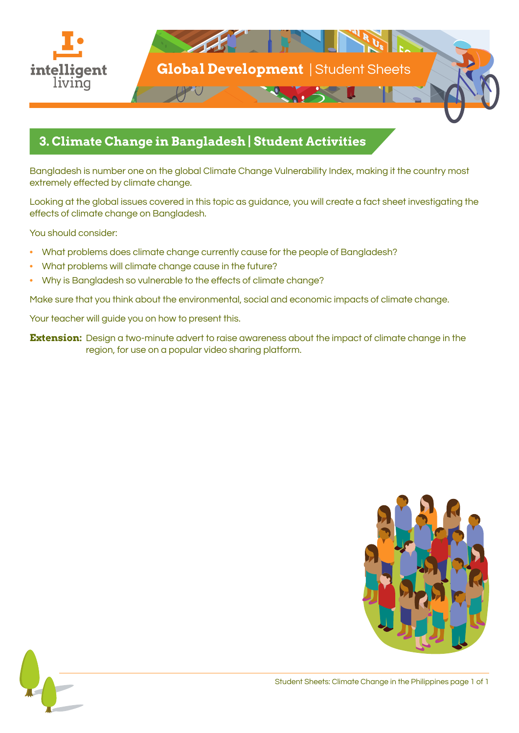

### **3. Climate Change in Bangladesh | Student Activities**

Bangladesh is number one on the global Climate Change Vulnerability Index, making it the country most extremely effected by climate change.

Looking at the global issues covered in this topic as guidance, you will create a fact sheet investigating the effects of climate change on Bangladesh.

You should consider:

- What problems does climate change currently cause for the people of Bangladesh?
- What problems will climate change cause in the future?
- Why is Bangladesh so vulnerable to the effects of climate change?

Make sure that you think about the environmental, social and economic impacts of climate change.

Your teacher will guide you on how to present this.

**Extension:** Design a two-minute advert to raise awareness about the impact of climate change in the region, for use on a popular video sharing platform.